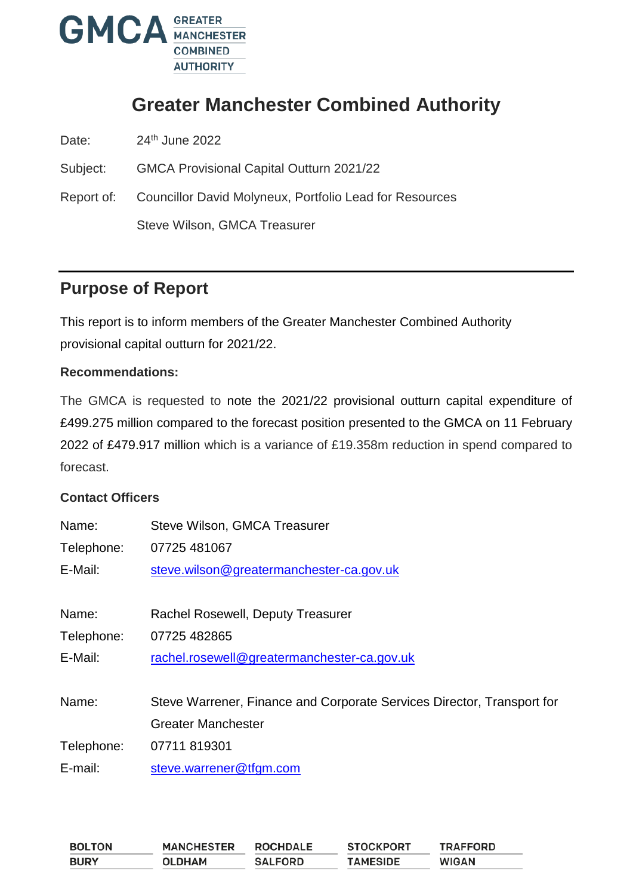

# **Greater Manchester Combined Authority**

Date: 24<sup>th</sup> June 2022

Subject: GMCA Provisional Capital Outturn 2021/22

Report of: Councillor David Molyneux, Portfolio Lead for Resources Steve Wilson, GMCA Treasurer

## **Purpose of Report**

This report is to inform members of the Greater Manchester Combined Authority provisional capital outturn for 2021/22.

#### **Recommendations:**

The GMCA is requested to note the 2021/22 provisional outturn capital expenditure of £499.275 million compared to the forecast position presented to the GMCA on 11 February 2022 of £479.917 million which is a variance of £19.358m reduction in spend compared to forecast.

#### **Contact Officers**

| Name:      | Steve Wilson, GMCA Treasurer                                           |
|------------|------------------------------------------------------------------------|
| Telephone: | 07725 481067                                                           |
| E-Mail:    | steve.wilson@greatermanchester-ca.gov.uk                               |
|            |                                                                        |
| Name:      | Rachel Rosewell, Deputy Treasurer                                      |
| Telephone: | 07725 482865                                                           |
| E-Mail:    | rachel.rosewell@greatermanchester-ca.gov.uk                            |
| Name:      | Steve Warrener, Finance and Corporate Services Director, Transport for |
|            | <b>Greater Manchester</b>                                              |
| Telephone: | 07711 819301                                                           |
| E-mail:    | steve.warrener@tfgm.com                                                |

| <b>BOLTON</b> | <b>MANCHESTER</b> | <b>ROCHDALE</b> | <b>STOCKPORT</b> | <b>TRAFFORD</b> |
|---------------|-------------------|-----------------|------------------|-----------------|
| <b>BURY</b>   | <b>OLDHAM</b>     | <b>SALFORD</b>  | <b>TAMESIDE</b>  | <b>WIGAN</b>    |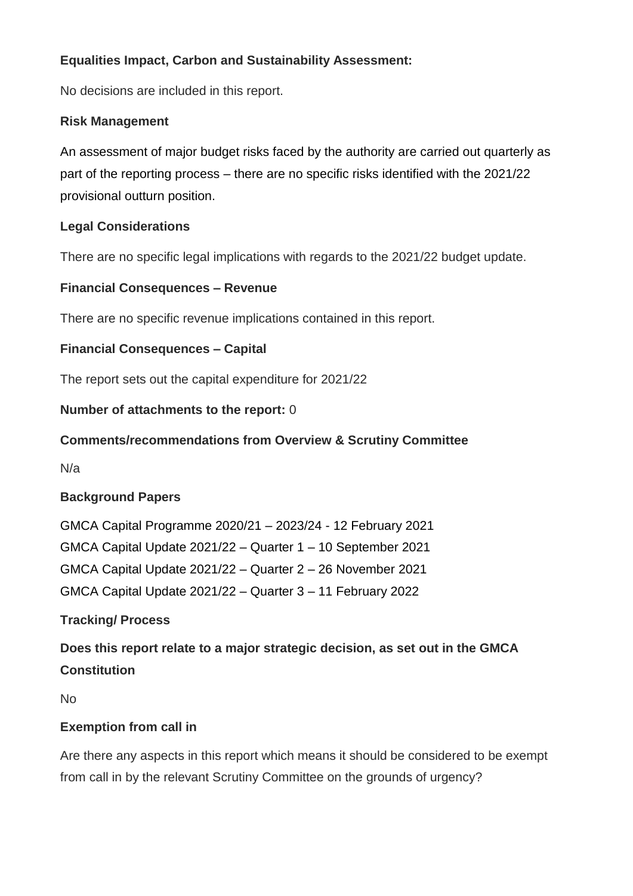## **Equalities Impact, Carbon and Sustainability Assessment:**

No decisions are included in this report.

#### **Risk Management**

An assessment of major budget risks faced by the authority are carried out quarterly as part of the reporting process – there are no specific risks identified with the 2021/22 provisional outturn position.

#### **Legal Considerations**

There are no specific legal implications with regards to the 2021/22 budget update.

#### **Financial Consequences – Revenue**

There are no specific revenue implications contained in this report.

## **Financial Consequences – Capital**

The report sets out the capital expenditure for 2021/22

## **Number of attachments to the report:** 0

## **Comments/recommendations from Overview & Scrutiny Committee**

N/a

## **Background Papers**

GMCA Capital Programme 2020/21 – 2023/24 - 12 February 2021 GMCA Capital Update 2021/22 – Quarter 1 – 10 September 2021 GMCA Capital Update 2021/22 – Quarter 2 – 26 November 2021 GMCA Capital Update 2021/22 – Quarter 3 – 11 February 2022

## **Tracking/ Process**

**Does this report relate to a major strategic decision, as set out in the GMCA Constitution** 

No

#### **Exemption from call in**

Are there any aspects in this report which means it should be considered to be exempt from call in by the relevant Scrutiny Committee on the grounds of urgency?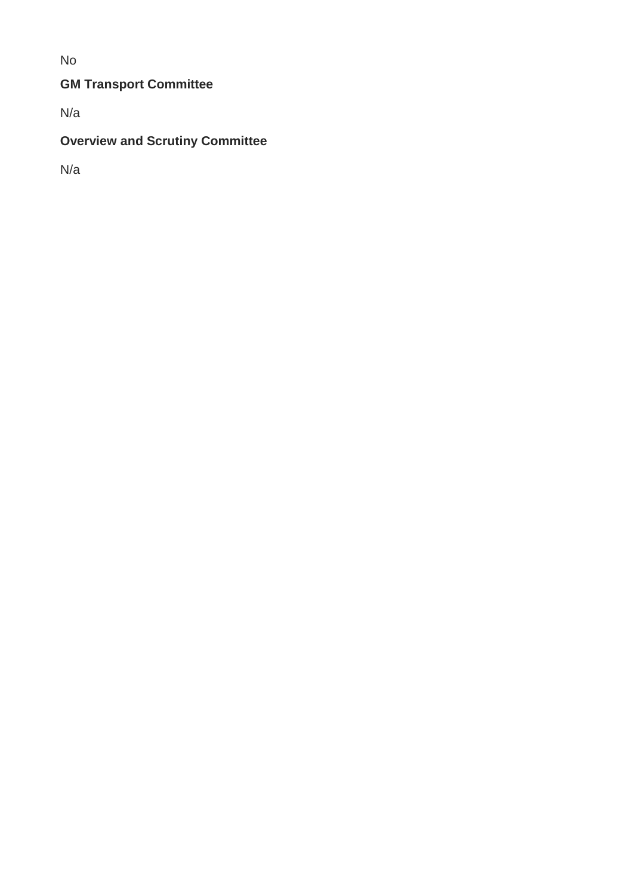No

## **GM Transport Committee**

N/a

## **Overview and Scrutiny Committee**

N/a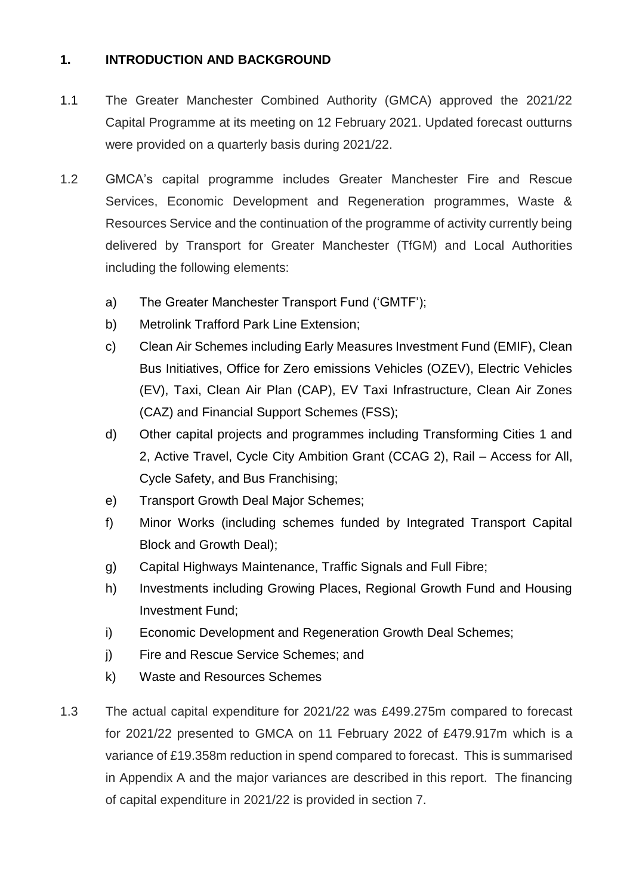## **1. INTRODUCTION AND BACKGROUND**

- 1.1 The Greater Manchester Combined Authority (GMCA) approved the 2021/22 Capital Programme at its meeting on 12 February 2021. Updated forecast outturns were provided on a quarterly basis during 2021/22.
- 1.2 GMCA's capital programme includes Greater Manchester Fire and Rescue Services, Economic Development and Regeneration programmes, Waste & Resources Service and the continuation of the programme of activity currently being delivered by Transport for Greater Manchester (TfGM) and Local Authorities including the following elements:
	- a) The Greater Manchester Transport Fund ('GMTF');
	- b) Metrolink Trafford Park Line Extension;
	- c) Clean Air Schemes including Early Measures Investment Fund (EMIF), Clean Bus Initiatives, Office for Zero emissions Vehicles (OZEV), Electric Vehicles (EV), Taxi, Clean Air Plan (CAP), EV Taxi Infrastructure, Clean Air Zones (CAZ) and Financial Support Schemes (FSS);
	- d) Other capital projects and programmes including Transforming Cities 1 and 2, Active Travel, Cycle City Ambition Grant (CCAG 2), Rail – Access for All, Cycle Safety, and Bus Franchising;
	- e) Transport Growth Deal Major Schemes;
	- f) Minor Works (including schemes funded by Integrated Transport Capital Block and Growth Deal);
	- g) Capital Highways Maintenance, Traffic Signals and Full Fibre;
	- h) Investments including Growing Places, Regional Growth Fund and Housing Investment Fund;
	- i) Economic Development and Regeneration Growth Deal Schemes;
	- j) Fire and Rescue Service Schemes; and
	- k) Waste and Resources Schemes
- 1.3 The actual capital expenditure for 2021/22 was £499.275m compared to forecast for 2021/22 presented to GMCA on 11 February 2022 of £479.917m which is a variance of £19.358m reduction in spend compared to forecast. This is summarised in Appendix A and the major variances are described in this report. The financing of capital expenditure in 2021/22 is provided in section 7.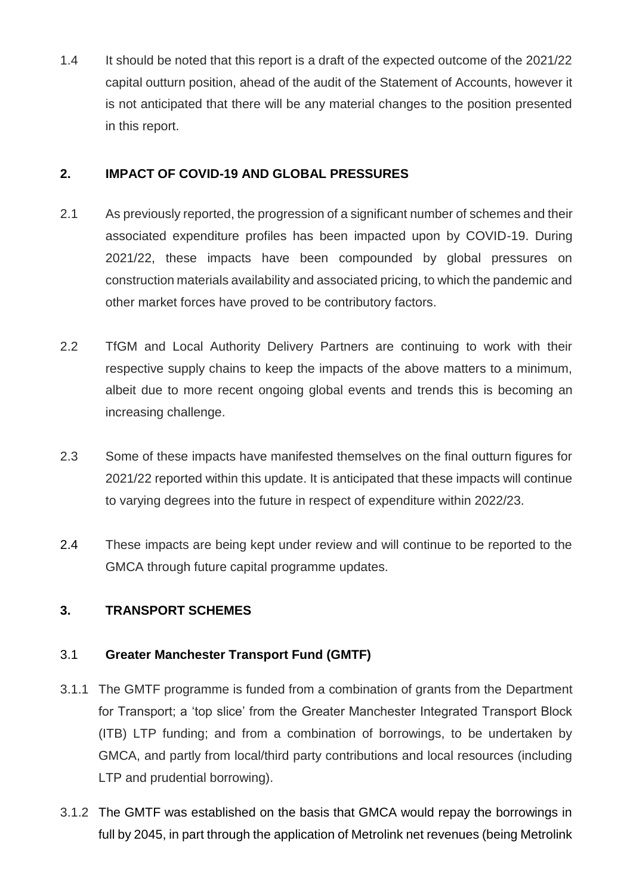1.4 It should be noted that this report is a draft of the expected outcome of the 2021/22 capital outturn position, ahead of the audit of the Statement of Accounts, however it is not anticipated that there will be any material changes to the position presented in this report.

## **2. IMPACT OF COVID-19 AND GLOBAL PRESSURES**

- 2.1 As previously reported, the progression of a significant number of schemes and their associated expenditure profiles has been impacted upon by COVID-19. During 2021/22, these impacts have been compounded by global pressures on construction materials availability and associated pricing, to which the pandemic and other market forces have proved to be contributory factors.
- 2.2 TfGM and Local Authority Delivery Partners are continuing to work with their respective supply chains to keep the impacts of the above matters to a minimum, albeit due to more recent ongoing global events and trends this is becoming an increasing challenge.
- 2.3 Some of these impacts have manifested themselves on the final outturn figures for 2021/22 reported within this update. It is anticipated that these impacts will continue to varying degrees into the future in respect of expenditure within 2022/23.
- 2.4 These impacts are being kept under review and will continue to be reported to the GMCA through future capital programme updates.

## **3. TRANSPORT SCHEMES**

## 3.1 **Greater Manchester Transport Fund (GMTF)**

- 3.1.1 The GMTF programme is funded from a combination of grants from the Department for Transport; a 'top slice' from the Greater Manchester Integrated Transport Block (ITB) LTP funding; and from a combination of borrowings, to be undertaken by GMCA, and partly from local/third party contributions and local resources (including LTP and prudential borrowing).
- 3.1.2 The GMTF was established on the basis that GMCA would repay the borrowings in full by 2045, in part through the application of Metrolink net revenues (being Metrolink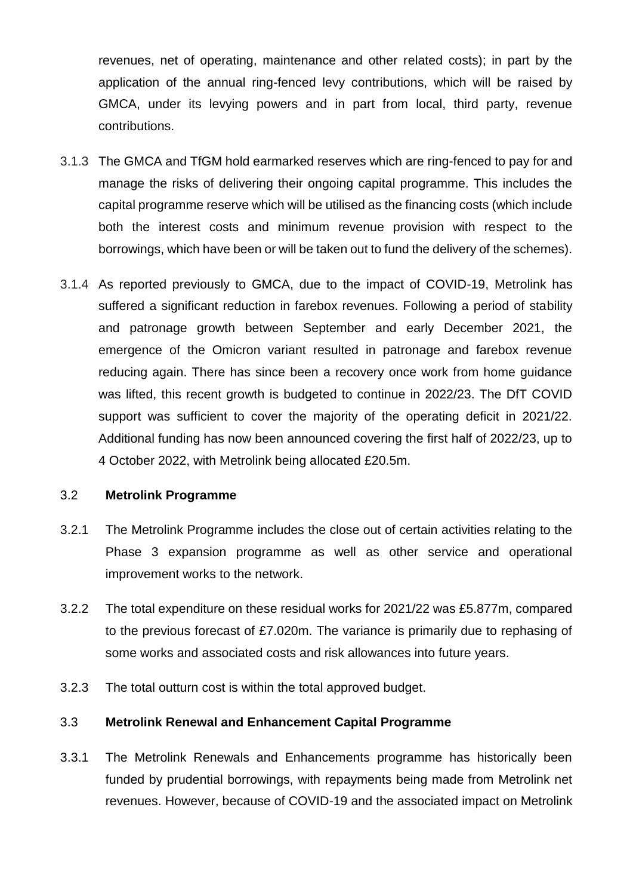revenues, net of operating, maintenance and other related costs); in part by the application of the annual ring-fenced levy contributions, which will be raised by GMCA, under its levying powers and in part from local, third party, revenue contributions.

- 3.1.3 The GMCA and TfGM hold earmarked reserves which are ring-fenced to pay for and manage the risks of delivering their ongoing capital programme. This includes the capital programme reserve which will be utilised as the financing costs (which include both the interest costs and minimum revenue provision with respect to the borrowings, which have been or will be taken out to fund the delivery of the schemes).
- 3.1.4 As reported previously to GMCA, due to the impact of COVID-19, Metrolink has suffered a significant reduction in farebox revenues. Following a period of stability and patronage growth between September and early December 2021, the emergence of the Omicron variant resulted in patronage and farebox revenue reducing again. There has since been a recovery once work from home guidance was lifted, this recent growth is budgeted to continue in 2022/23. The DfT COVID support was sufficient to cover the majority of the operating deficit in 2021/22. Additional funding has now been announced covering the first half of 2022/23, up to 4 October 2022, with Metrolink being allocated £20.5m.

#### 3.2 **Metrolink Programme**

- 3.2.1 The Metrolink Programme includes the close out of certain activities relating to the Phase 3 expansion programme as well as other service and operational improvement works to the network.
- 3.2.2 The total expenditure on these residual works for 2021/22 was £5.877m, compared to the previous forecast of £7.020m. The variance is primarily due to rephasing of some works and associated costs and risk allowances into future years.
- 3.2.3 The total outturn cost is within the total approved budget.

#### 3.3 **Metrolink Renewal and Enhancement Capital Programme**

3.3.1 The Metrolink Renewals and Enhancements programme has historically been funded by prudential borrowings, with repayments being made from Metrolink net revenues. However, because of COVID-19 and the associated impact on Metrolink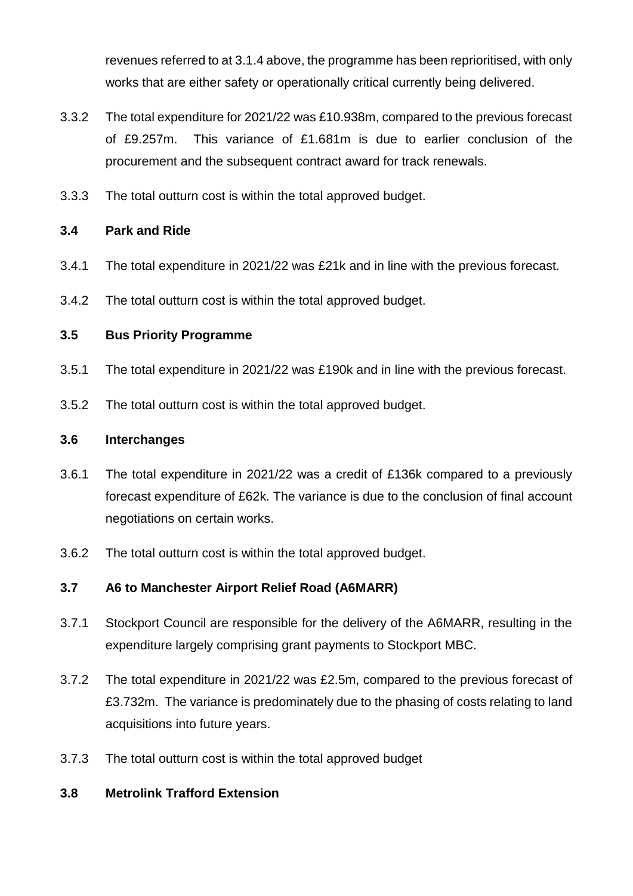revenues referred to at 3.1.4 above, the programme has been reprioritised, with only works that are either safety or operationally critical currently being delivered.

- 3.3.2 The total expenditure for 2021/22 was £10.938m, compared to the previous forecast of £9.257m. This variance of £1.681m is due to earlier conclusion of the procurement and the subsequent contract award for track renewals.
- 3.3.3 The total outturn cost is within the total approved budget.

## **3.4 Park and Ride**

- 3.4.1 The total expenditure in 2021/22 was £21k and in line with the previous forecast.
- 3.4.2 The total outturn cost is within the total approved budget.

## **3.5 Bus Priority Programme**

- 3.5.1 The total expenditure in 2021/22 was £190k and in line with the previous forecast.
- 3.5.2 The total outturn cost is within the total approved budget.

#### **3.6 Interchanges**

- 3.6.1 The total expenditure in 2021/22 was a credit of £136k compared to a previously forecast expenditure of £62k. The variance is due to the conclusion of final account negotiations on certain works.
- 3.6.2 The total outturn cost is within the total approved budget.

## **3.7 A6 to Manchester Airport Relief Road (A6MARR)**

- 3.7.1 Stockport Council are responsible for the delivery of the A6MARR, resulting in the expenditure largely comprising grant payments to Stockport MBC.
- 3.7.2 The total expenditure in 2021/22 was £2.5m, compared to the previous forecast of £3.732m. The variance is predominately due to the phasing of costs relating to land acquisitions into future years.
- 3.7.3 The total outturn cost is within the total approved budget

## **3.8 Metrolink Trafford Extension**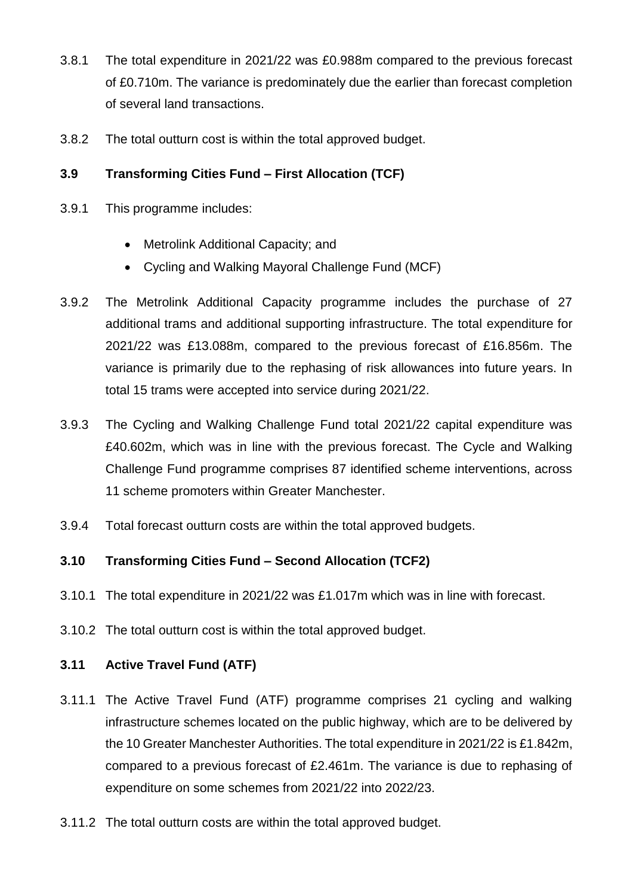- 3.8.1 The total expenditure in 2021/22 was £0.988m compared to the previous forecast of £0.710m. The variance is predominately due the earlier than forecast completion of several land transactions.
- 3.8.2 The total outturn cost is within the total approved budget.

## **3.9 Transforming Cities Fund – First Allocation (TCF)**

- 3.9.1 This programme includes:
	- Metrolink Additional Capacity; and
	- Cycling and Walking Mayoral Challenge Fund (MCF)
- 3.9.2 The Metrolink Additional Capacity programme includes the purchase of 27 additional trams and additional supporting infrastructure. The total expenditure for 2021/22 was £13.088m, compared to the previous forecast of £16.856m. The variance is primarily due to the rephasing of risk allowances into future years. In total 15 trams were accepted into service during 2021/22.
- 3.9.3 The Cycling and Walking Challenge Fund total 2021/22 capital expenditure was £40.602m, which was in line with the previous forecast. The Cycle and Walking Challenge Fund programme comprises 87 identified scheme interventions, across 11 scheme promoters within Greater Manchester.
- 3.9.4 Total forecast outturn costs are within the total approved budgets.

#### **3.10 Transforming Cities Fund – Second Allocation (TCF2)**

- 3.10.1 The total expenditure in 2021/22 was £1.017m which was in line with forecast.
- 3.10.2 The total outturn cost is within the total approved budget.

#### **3.11 Active Travel Fund (ATF)**

- 3.11.1 The Active Travel Fund (ATF) programme comprises 21 cycling and walking infrastructure schemes located on the public highway, which are to be delivered by the 10 Greater Manchester Authorities. The total expenditure in 2021/22 is £1.842m, compared to a previous forecast of £2.461m. The variance is due to rephasing of expenditure on some schemes from 2021/22 into 2022/23.
- 3.11.2 The total outturn costs are within the total approved budget.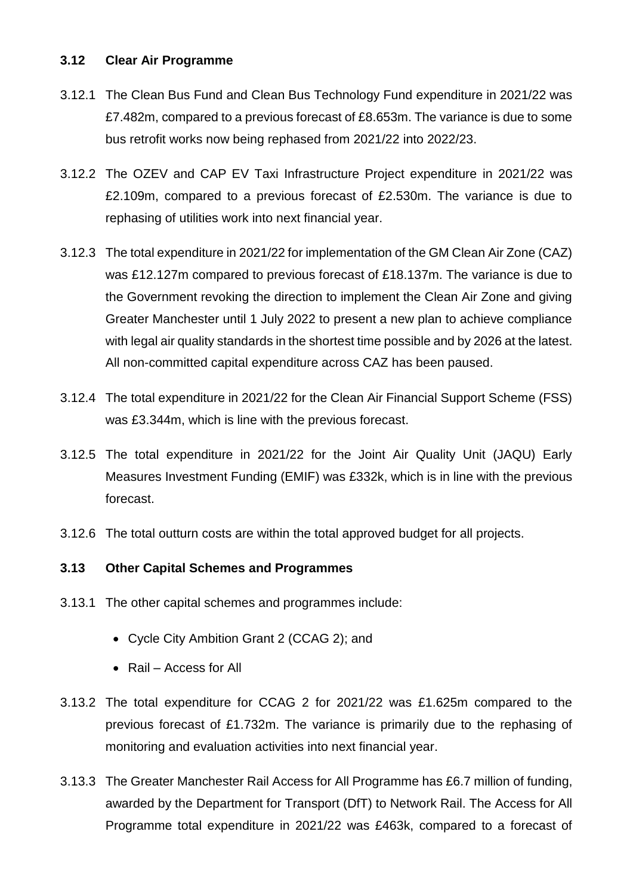#### **3.12 Clear Air Programme**

- 3.12.1 The Clean Bus Fund and Clean Bus Technology Fund expenditure in 2021/22 was £7.482m, compared to a previous forecast of £8.653m. The variance is due to some bus retrofit works now being rephased from 2021/22 into 2022/23.
- 3.12.2 The OZEV and CAP EV Taxi Infrastructure Project expenditure in 2021/22 was £2.109m, compared to a previous forecast of £2.530m. The variance is due to rephasing of utilities work into next financial year.
- 3.12.3 The total expenditure in 2021/22 for implementation of the GM Clean Air Zone (CAZ) was £12.127m compared to previous forecast of £18.137m. The variance is due to the Government revoking the direction to implement the Clean Air Zone and giving Greater Manchester until 1 July 2022 to present a new plan to achieve compliance with legal air quality standards in the shortest time possible and by 2026 at the latest. All non-committed capital expenditure across CAZ has been paused.
- 3.12.4 The total expenditure in 2021/22 for the Clean Air Financial Support Scheme (FSS) was £3.344m, which is line with the previous forecast.
- 3.12.5 The total expenditure in 2021/22 for the Joint Air Quality Unit (JAQU) Early Measures Investment Funding (EMIF) was £332k, which is in line with the previous forecast.
- 3.12.6 The total outturn costs are within the total approved budget for all projects.

#### **3.13 Other Capital Schemes and Programmes**

- 3.13.1 The other capital schemes and programmes include:
	- Cycle City Ambition Grant 2 (CCAG 2); and
	- Rail Access for All
- 3.13.2 The total expenditure for CCAG 2 for 2021/22 was £1.625m compared to the previous forecast of £1.732m. The variance is primarily due to the rephasing of monitoring and evaluation activities into next financial year.
- 3.13.3 The Greater Manchester Rail Access for All Programme has £6.7 million of funding, awarded by the Department for Transport (DfT) to Network Rail. The Access for All Programme total expenditure in 2021/22 was £463k, compared to a forecast of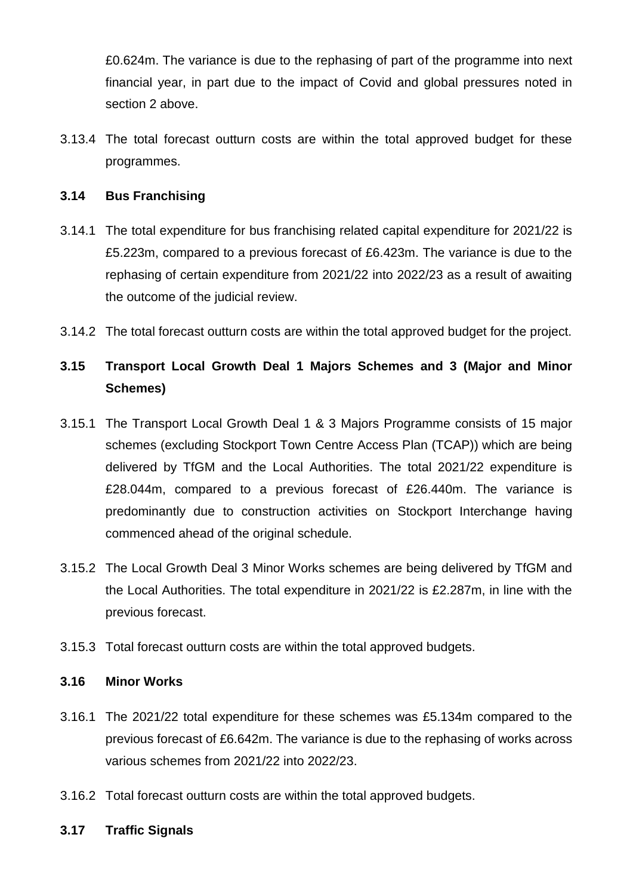£0.624m. The variance is due to the rephasing of part of the programme into next financial year, in part due to the impact of Covid and global pressures noted in section 2 above.

3.13.4 The total forecast outturn costs are within the total approved budget for these programmes.

#### **3.14 Bus Franchising**

- 3.14.1 The total expenditure for bus franchising related capital expenditure for 2021/22 is £5.223m, compared to a previous forecast of £6.423m. The variance is due to the rephasing of certain expenditure from 2021/22 into 2022/23 as a result of awaiting the outcome of the judicial review.
- 3.14.2 The total forecast outturn costs are within the total approved budget for the project.

## **3.15 Transport Local Growth Deal 1 Majors Schemes and 3 (Major and Minor Schemes)**

- 3.15.1 The Transport Local Growth Deal 1 & 3 Majors Programme consists of 15 major schemes (excluding Stockport Town Centre Access Plan (TCAP)) which are being delivered by TfGM and the Local Authorities. The total 2021/22 expenditure is £28.044m, compared to a previous forecast of £26.440m. The variance is predominantly due to construction activities on Stockport Interchange having commenced ahead of the original schedule.
- 3.15.2 The Local Growth Deal 3 Minor Works schemes are being delivered by TfGM and the Local Authorities. The total expenditure in 2021/22 is £2.287m, in line with the previous forecast.
- 3.15.3 Total forecast outturn costs are within the total approved budgets.

#### **3.16 Minor Works**

- 3.16.1 The 2021/22 total expenditure for these schemes was £5.134m compared to the previous forecast of £6.642m. The variance is due to the rephasing of works across various schemes from 2021/22 into 2022/23.
- 3.16.2 Total forecast outturn costs are within the total approved budgets.

#### **3.17 Traffic Signals**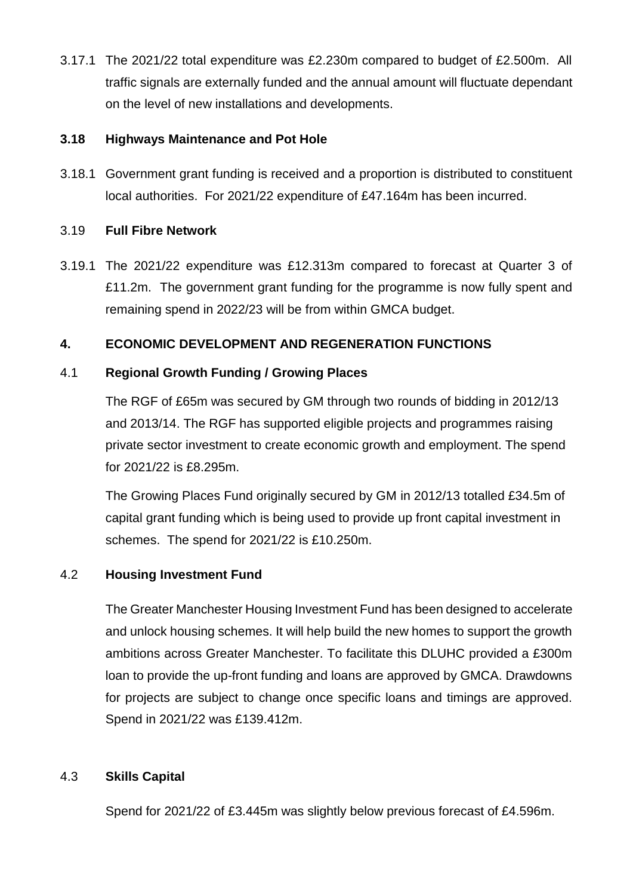3.17.1 The 2021/22 total expenditure was £2.230m compared to budget of £2.500m. All traffic signals are externally funded and the annual amount will fluctuate dependant on the level of new installations and developments.

#### **3.18 Highways Maintenance and Pot Hole**

3.18.1 Government grant funding is received and a proportion is distributed to constituent local authorities. For 2021/22 expenditure of £47.164m has been incurred.

## 3.19 **Full Fibre Network**

3.19.1 The 2021/22 expenditure was £12.313m compared to forecast at Quarter 3 of £11.2m. The government grant funding for the programme is now fully spent and remaining spend in 2022/23 will be from within GMCA budget.

## **4. ECONOMIC DEVELOPMENT AND REGENERATION FUNCTIONS**

## 4.1 **Regional Growth Funding / Growing Places**

The RGF of £65m was secured by GM through two rounds of bidding in 2012/13 and 2013/14. The RGF has supported eligible projects and programmes raising private sector investment to create economic growth and employment. The spend for 2021/22 is £8.295m.

The Growing Places Fund originally secured by GM in 2012/13 totalled £34.5m of capital grant funding which is being used to provide up front capital investment in schemes. The spend for 2021/22 is £10.250m.

## 4.2 **Housing Investment Fund**

The Greater Manchester Housing Investment Fund has been designed to accelerate and unlock housing schemes. It will help build the new homes to support the growth ambitions across Greater Manchester. To facilitate this DLUHC provided a £300m loan to provide the up-front funding and loans are approved by GMCA. Drawdowns for projects are subject to change once specific loans and timings are approved. Spend in 2021/22 was £139.412m.

## 4.3 **Skills Capital**

Spend for 2021/22 of £3.445m was slightly below previous forecast of £4.596m.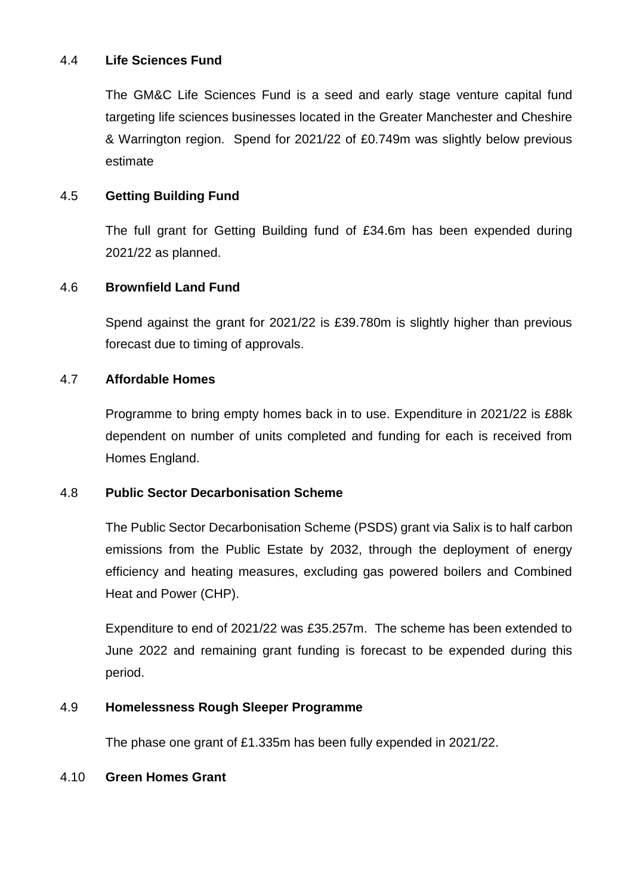#### 4.4 **Life Sciences Fund**

The GM&C Life Sciences Fund is a seed and early stage venture capital fund targeting life sciences businesses located in the Greater Manchester and Cheshire & Warrington region. Spend for 2021/22 of £0.749m was slightly below previous estimate

#### 4.5 **Getting Building Fund**

The full grant for Getting Building fund of £34.6m has been expended during 2021/22 as planned.

#### 4.6 **Brownfield Land Fund**

Spend against the grant for 2021/22 is £39.780m is slightly higher than previous forecast due to timing of approvals.

#### 4.7 **Affordable Homes**

Programme to bring empty homes back in to use. Expenditure in 2021/22 is £88k dependent on number of units completed and funding for each is received from Homes England.

#### 4.8 **Public Sector Decarbonisation Scheme**

The Public Sector Decarbonisation Scheme (PSDS) grant via Salix is to half carbon emissions from the Public Estate by 2032, through the deployment of energy efficiency and heating measures, excluding gas powered boilers and Combined Heat and Power (CHP).

Expenditure to end of 2021/22 was £35.257m. The scheme has been extended to June 2022 and remaining grant funding is forecast to be expended during this period.

#### 4.9 **Homelessness Rough Sleeper Programme**

The phase one grant of £1.335m has been fully expended in 2021/22.

#### 4.10 **Green Homes Grant**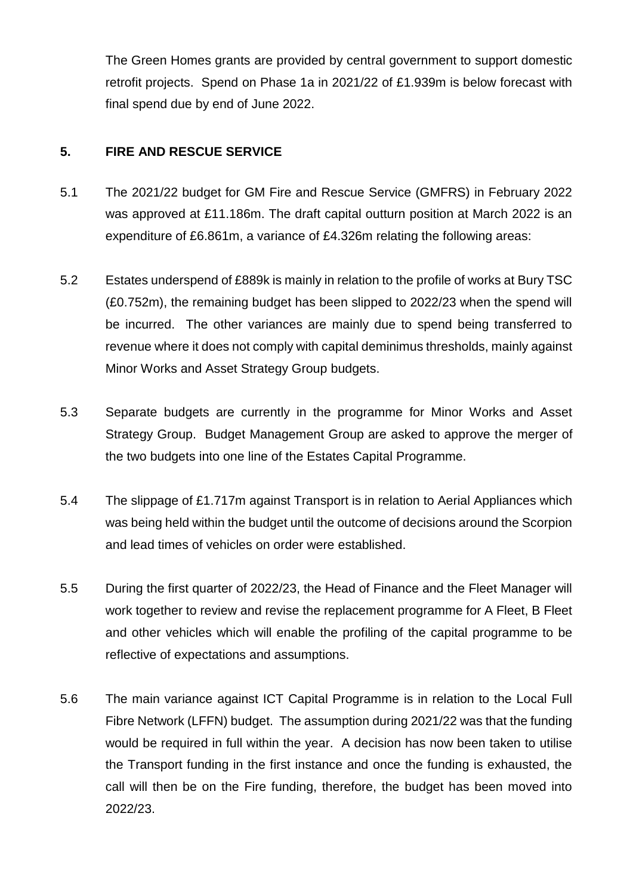The Green Homes grants are provided by central government to support domestic retrofit projects. Spend on Phase 1a in 2021/22 of £1.939m is below forecast with final spend due by end of June 2022.

#### **5. FIRE AND RESCUE SERVICE**

- 5.1 The 2021/22 budget for GM Fire and Rescue Service (GMFRS) in February 2022 was approved at £11.186m. The draft capital outturn position at March 2022 is an expenditure of £6.861m, a variance of £4.326m relating the following areas:
- 5.2 Estates underspend of £889k is mainly in relation to the profile of works at Bury TSC (£0.752m), the remaining budget has been slipped to 2022/23 when the spend will be incurred. The other variances are mainly due to spend being transferred to revenue where it does not comply with capital deminimus thresholds, mainly against Minor Works and Asset Strategy Group budgets.
- 5.3 Separate budgets are currently in the programme for Minor Works and Asset Strategy Group. Budget Management Group are asked to approve the merger of the two budgets into one line of the Estates Capital Programme.
- 5.4 The slippage of £1.717m against Transport is in relation to Aerial Appliances which was being held within the budget until the outcome of decisions around the Scorpion and lead times of vehicles on order were established.
- 5.5 During the first quarter of 2022/23, the Head of Finance and the Fleet Manager will work together to review and revise the replacement programme for A Fleet, B Fleet and other vehicles which will enable the profiling of the capital programme to be reflective of expectations and assumptions.
- 5.6 The main variance against ICT Capital Programme is in relation to the Local Full Fibre Network (LFFN) budget. The assumption during 2021/22 was that the funding would be required in full within the year. A decision has now been taken to utilise the Transport funding in the first instance and once the funding is exhausted, the call will then be on the Fire funding, therefore, the budget has been moved into 2022/23.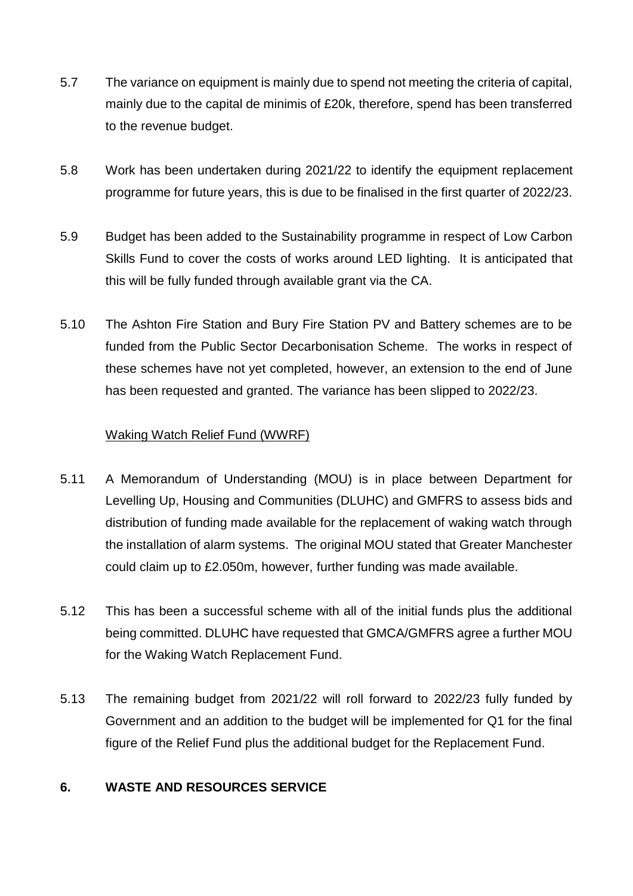- 5.7 The variance on equipment is mainly due to spend not meeting the criteria of capital, mainly due to the capital de minimis of £20k, therefore, spend has been transferred to the revenue budget.
- 5.8 Work has been undertaken during 2021/22 to identify the equipment replacement programme for future years, this is due to be finalised in the first quarter of 2022/23.
- 5.9 Budget has been added to the Sustainability programme in respect of Low Carbon Skills Fund to cover the costs of works around LED lighting. It is anticipated that this will be fully funded through available grant via the CA.
- 5.10 The Ashton Fire Station and Bury Fire Station PV and Battery schemes are to be funded from the Public Sector Decarbonisation Scheme. The works in respect of these schemes have not yet completed, however, an extension to the end of June has been requested and granted. The variance has been slipped to 2022/23.

#### Waking Watch Relief Fund (WWRF)

- 5.11 A Memorandum of Understanding (MOU) is in place between Department for Levelling Up, Housing and Communities (DLUHC) and GMFRS to assess bids and distribution of funding made available for the replacement of waking watch through the installation of alarm systems. The original MOU stated that Greater Manchester could claim up to £2.050m, however, further funding was made available.
- 5.12 This has been a successful scheme with all of the initial funds plus the additional being committed. DLUHC have requested that GMCA/GMFRS agree a further MOU for the Waking Watch Replacement Fund.
- 5.13 The remaining budget from 2021/22 will roll forward to 2022/23 fully funded by Government and an addition to the budget will be implemented for Q1 for the final figure of the Relief Fund plus the additional budget for the Replacement Fund.

#### **6. WASTE AND RESOURCES SERVICE**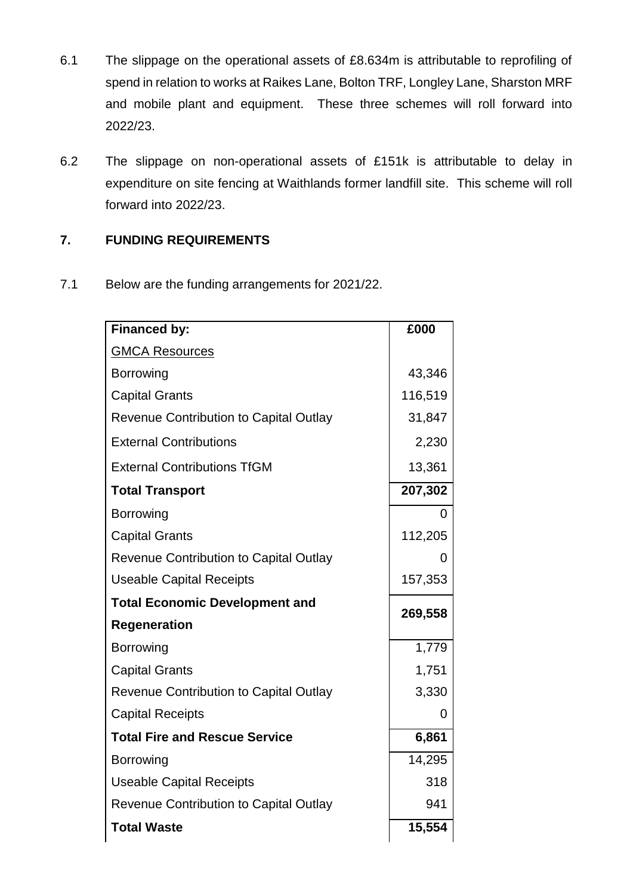- 6.1 The slippage on the operational assets of £8.634m is attributable to reprofiling of spend in relation to works at Raikes Lane, Bolton TRF, Longley Lane, Sharston MRF and mobile plant and equipment. These three schemes will roll forward into 2022/23.
- 6.2 The slippage on non-operational assets of £151k is attributable to delay in expenditure on site fencing at Waithlands former landfill site. This scheme will roll forward into 2022/23.

## **7. FUNDING REQUIREMENTS**

7.1 Below are the funding arrangements for 2021/22.

| <b>Financed by:</b>                           | £000    |
|-----------------------------------------------|---------|
| <b>GMCA Resources</b>                         |         |
| <b>Borrowing</b>                              | 43,346  |
| <b>Capital Grants</b>                         | 116,519 |
| <b>Revenue Contribution to Capital Outlay</b> | 31,847  |
| <b>External Contributions</b>                 | 2,230   |
| <b>External Contributions TfGM</b>            | 13,361  |
| <b>Total Transport</b>                        | 207,302 |
| <b>Borrowing</b>                              | 0       |
| <b>Capital Grants</b>                         | 112,205 |
| <b>Revenue Contribution to Capital Outlay</b> | 0       |
| <b>Useable Capital Receipts</b>               | 157,353 |
| <b>Total Economic Development and</b>         |         |
| <b>Regeneration</b>                           | 269,558 |
| <b>Borrowing</b>                              | 1,779   |
| <b>Capital Grants</b>                         | 1,751   |
| <b>Revenue Contribution to Capital Outlay</b> | 3,330   |
| <b>Capital Receipts</b>                       | 0       |
| <b>Total Fire and Rescue Service</b>          | 6,861   |
| <b>Borrowing</b>                              | 14,295  |
| <b>Useable Capital Receipts</b>               | 318     |
| <b>Revenue Contribution to Capital Outlay</b> | 941     |
| <b>Total Waste</b>                            | 15,554  |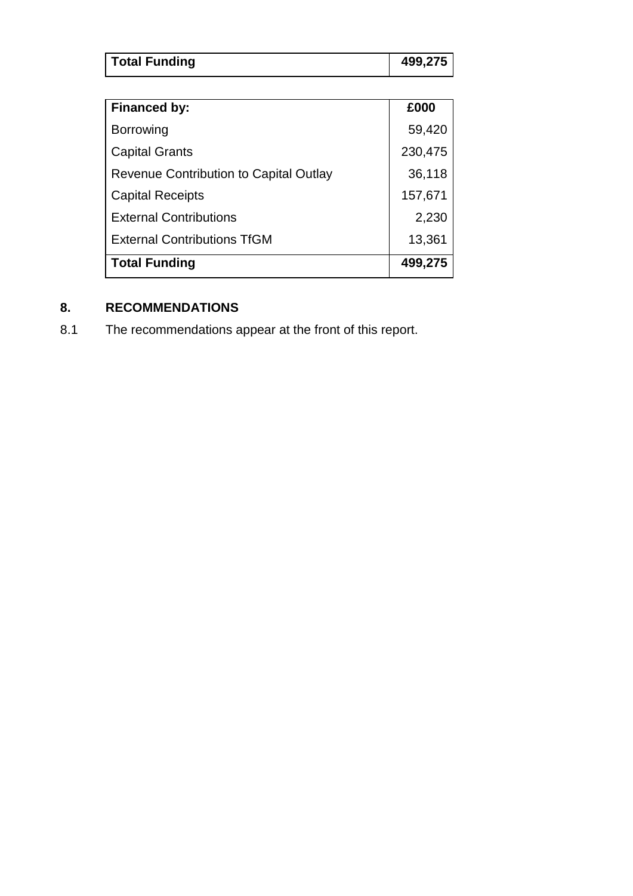| <b>Total Funding</b> | 499,275 |
|----------------------|---------|

| <b>Financed by:</b>                    | £000    |
|----------------------------------------|---------|
| <b>Borrowing</b>                       | 59,420  |
| <b>Capital Grants</b>                  | 230,475 |
| Revenue Contribution to Capital Outlay | 36,118  |
| <b>Capital Receipts</b>                | 157,671 |
| <b>External Contributions</b>          | 2,230   |
| <b>External Contributions TfGM</b>     | 13,361  |
| <b>Total Funding</b>                   | 499,275 |

## **8. RECOMMENDATIONS**

8.1 The recommendations appear at the front of this report.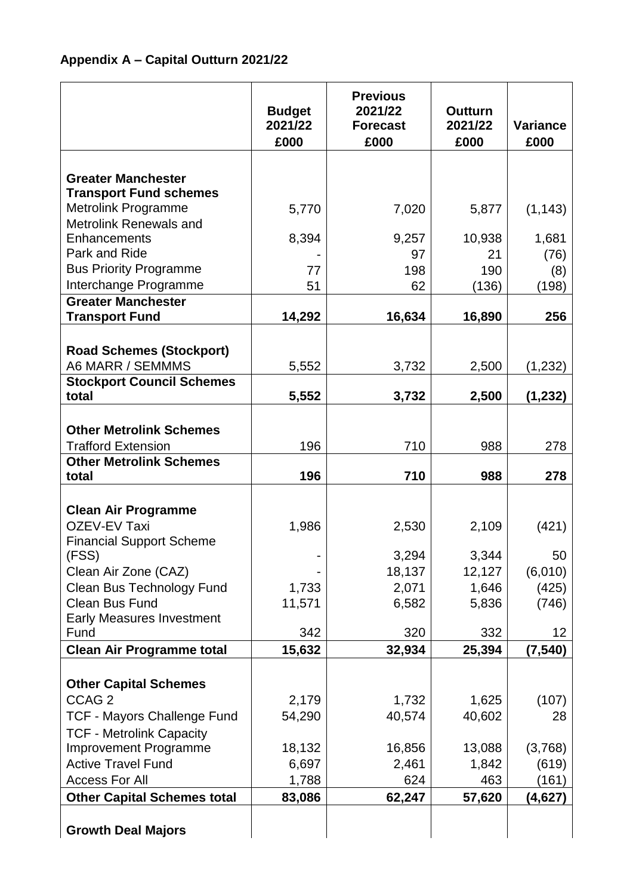|                                                     | <b>Budget</b><br>2021/22<br>£000 | <b>Previous</b><br>2021/22<br><b>Forecast</b><br>£000 | <b>Outturn</b><br>2021/22<br>£000 | <b>Variance</b><br>£000 |
|-----------------------------------------------------|----------------------------------|-------------------------------------------------------|-----------------------------------|-------------------------|
|                                                     |                                  |                                                       |                                   |                         |
| <b>Greater Manchester</b>                           |                                  |                                                       |                                   |                         |
| <b>Transport Fund schemes</b>                       |                                  |                                                       |                                   |                         |
| Metrolink Programme<br>Metrolink Renewals and       | 5,770                            | 7,020                                                 | 5,877                             | (1, 143)                |
| Enhancements                                        | 8,394                            | 9,257                                                 | 10,938                            | 1,681                   |
| Park and Ride                                       |                                  | 97                                                    | 21                                | (76)                    |
| <b>Bus Priority Programme</b>                       | 77                               | 198                                                   | 190                               | (8)                     |
| Interchange Programme                               | 51                               | 62                                                    | (136)                             | (198)                   |
| <b>Greater Manchester</b>                           |                                  |                                                       |                                   |                         |
| <b>Transport Fund</b>                               | 14,292                           | 16,634                                                | 16,890                            | 256                     |
|                                                     |                                  |                                                       |                                   |                         |
| <b>Road Schemes (Stockport)</b><br>A6 MARR / SEMMMS | 5,552                            | 3,732                                                 |                                   | (1, 232)                |
| <b>Stockport Council Schemes</b>                    |                                  |                                                       | 2,500                             |                         |
| total                                               | 5,552                            | 3,732                                                 | 2,500                             | (1, 232)                |
|                                                     |                                  |                                                       |                                   |                         |
| <b>Other Metrolink Schemes</b>                      |                                  |                                                       |                                   |                         |
| <b>Trafford Extension</b>                           | 196                              | 710                                                   | 988                               | 278                     |
| <b>Other Metrolink Schemes</b>                      |                                  |                                                       |                                   |                         |
| total                                               | 196                              | 710                                                   | 988                               | 278                     |
| <b>Clean Air Programme</b>                          |                                  |                                                       |                                   |                         |
| <b>OZEV-EV Taxi</b>                                 | 1,986                            | 2,530                                                 | 2,109                             | (421)                   |
| <b>Financial Support Scheme</b>                     |                                  |                                                       |                                   |                         |
| (FSS)                                               |                                  | 3,294                                                 | 3,344                             | 50                      |
| Clean Air Zone (CAZ)                                |                                  | 18,137                                                | 12,127                            | (6,010)                 |
| Clean Bus Technology Fund                           | 1,733                            | 2,071                                                 | 1,646                             | (425)                   |
| <b>Clean Bus Fund</b>                               | 11,571                           | 6,582                                                 | 5,836                             | (746)                   |
| <b>Early Measures Investment</b><br>Fund            | 342                              | 320                                                   | 332                               | 12                      |
| <b>Clean Air Programme total</b>                    | 15,632                           | 32,934                                                | 25,394                            | (7, 540)                |
|                                                     |                                  |                                                       |                                   |                         |
| <b>Other Capital Schemes</b>                        |                                  |                                                       |                                   |                         |
| CCAG <sub>2</sub>                                   | 2,179                            | 1,732                                                 | 1,625                             | (107)                   |
| <b>TCF - Mayors Challenge Fund</b>                  | 54,290                           | 40,574                                                | 40,602                            | 28                      |
| <b>TCF - Metrolink Capacity</b>                     |                                  |                                                       |                                   |                         |
| <b>Improvement Programme</b>                        | 18,132                           | 16,856                                                | 13,088                            | (3,768)                 |
| <b>Active Travel Fund</b>                           | 6,697                            | 2,461                                                 | 1,842                             | (619)                   |
| <b>Access For All</b>                               | 1,788                            | 624                                                   | 463                               | (161)                   |
| <b>Other Capital Schemes total</b>                  | 83,086                           | 62,247                                                | 57,620                            | (4,627)                 |
| <b>Growth Deal Majors</b>                           |                                  |                                                       |                                   |                         |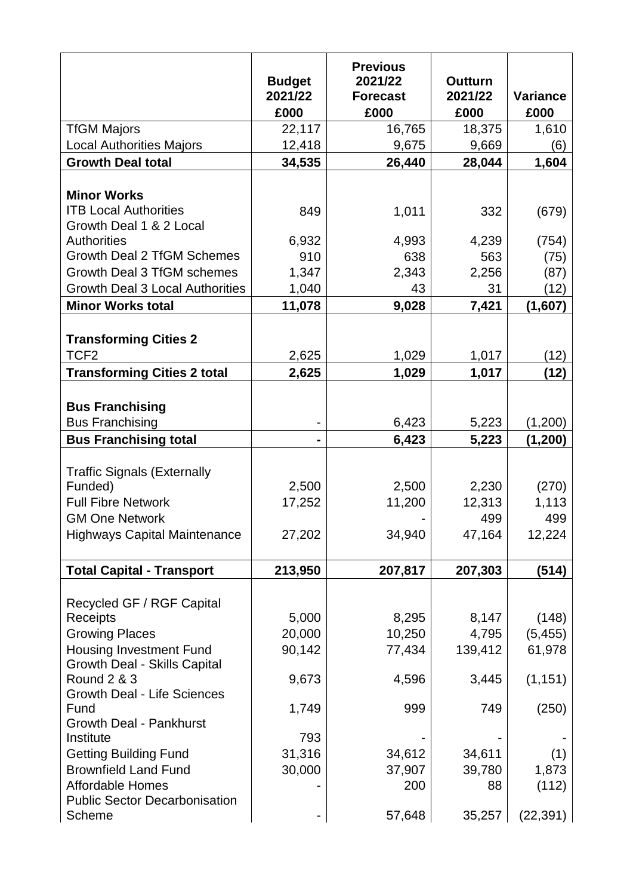|                                                                                                     | <b>Budget</b><br>2021/22<br>£000 | <b>Previous</b><br>2021/22<br><b>Forecast</b><br>£000 | <b>Outturn</b><br>2021/22<br>£000 | <b>Variance</b><br>£000 |
|-----------------------------------------------------------------------------------------------------|----------------------------------|-------------------------------------------------------|-----------------------------------|-------------------------|
| <b>TfGM Majors</b>                                                                                  | 22,117                           | 16,765                                                | 18,375                            | 1,610                   |
| <b>Local Authorities Majors</b>                                                                     | 12,418                           | 9,675                                                 | 9,669                             | (6)                     |
| <b>Growth Deal total</b>                                                                            | 34,535                           | 26,440                                                | 28,044                            | 1,604                   |
|                                                                                                     |                                  |                                                       |                                   |                         |
| <b>Minor Works</b>                                                                                  |                                  |                                                       |                                   |                         |
| <b>ITB Local Authorities</b>                                                                        | 849                              | 1,011                                                 | 332                               | (679)                   |
| Growth Deal 1 & 2 Local                                                                             |                                  |                                                       |                                   |                         |
| <b>Authorities</b>                                                                                  | 6,932                            | 4,993                                                 | 4,239                             | (754)                   |
| <b>Growth Deal 2 TfGM Schemes</b>                                                                   | 910                              | 638                                                   | 563                               | (75)                    |
| Growth Deal 3 TfGM schemes                                                                          | 1,347                            | 2,343                                                 | 2,256                             | (87)                    |
| <b>Growth Deal 3 Local Authorities</b>                                                              | 1,040                            | 43                                                    | 31                                | (12)                    |
| <b>Minor Works total</b>                                                                            | 11,078                           | 9,028                                                 | 7,421                             | (1,607)                 |
| <b>Transforming Cities 2</b><br>TCF <sub>2</sub>                                                    |                                  |                                                       |                                   |                         |
|                                                                                                     | 2,625                            | 1,029                                                 | 1,017                             | (12)                    |
| <b>Transforming Cities 2 total</b>                                                                  | 2,625                            | 1,029                                                 | 1,017                             | (12)                    |
| <b>Bus Franchising</b><br><b>Bus Franchising</b>                                                    |                                  | 6,423                                                 | 5,223                             | (1,200)                 |
|                                                                                                     |                                  |                                                       |                                   |                         |
| <b>Bus Franchising total</b>                                                                        |                                  | 6,423                                                 | 5,223                             | (1, 200)                |
| <b>Traffic Signals (Externally</b><br>Funded)<br><b>Full Fibre Network</b><br><b>GM One Network</b> | 2,500<br>17,252                  | 2,500<br>11,200                                       | 2,230<br>12,313<br>499            | (270)<br>1,113<br>499   |
| <b>Highways Capital Maintenance</b>                                                                 | 27,202                           | 34,940                                                | 47,164                            | 12,224                  |
| <b>Total Capital - Transport</b>                                                                    | 213,950                          | 207,817                                               | 207,303                           | (514)                   |
| Recycled GF / RGF Capital                                                                           |                                  |                                                       |                                   |                         |
| Receipts                                                                                            | 5,000                            | 8,295                                                 | 8,147                             | (148)                   |
| <b>Growing Places</b>                                                                               | 20,000                           | 10,250                                                | 4,795                             | (5, 455)                |
| <b>Housing Investment Fund</b><br><b>Growth Deal - Skills Capital</b>                               | 90,142                           | 77,434                                                | 139,412                           | 61,978                  |
| <b>Round 2 &amp; 3</b><br><b>Growth Deal - Life Sciences</b>                                        | 9,673                            | 4,596                                                 | 3,445                             | (1, 151)                |
| Fund<br><b>Growth Deal - Pankhurst</b>                                                              | 1,749                            | 999                                                   | 749                               | (250)                   |
| Institute                                                                                           | 793                              |                                                       |                                   |                         |
| <b>Getting Building Fund</b>                                                                        | 31,316                           | 34,612                                                | 34,611                            | (1)                     |
| <b>Brownfield Land Fund</b><br><b>Affordable Homes</b><br><b>Public Sector Decarbonisation</b>      | 30,000                           | 37,907<br>200                                         | 39,780<br>88                      | 1,873<br>(112)          |
| Scheme                                                                                              |                                  | 57,648                                                | 35,257                            | (22, 391)               |